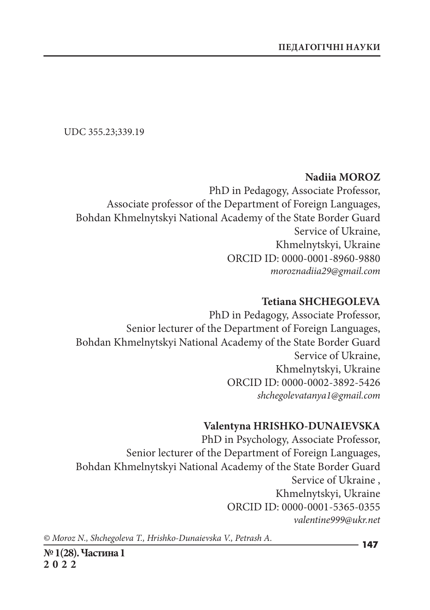UDC 355.23;339.19

### **Nadiia MOROZ**

PhD in Pedagogy, Associate Professor, Associate professor of the Department of Foreign Languages, Bohdan Khmelnytskyi National Academy of the State Border Guard Service of Ukraine, Khmelnytskyi, Ukraine ORCID ID: 0000-0001-8960-9880 *moroznadiia29@gmail.com*

### **Tetіana SHCHEGOLEVA**

PhD in Pedagogy, Associate Professor, Senior lecturer of the Department of Foreign Languages, Bohdan Khmelnytskyi National Academy of the State Border Guard Service of Ukraine, Khmelnytskyi, Ukraine ORCID ID: 0000-0002-3892-5426 *shchegolevatanya1@gmail.com*

#### **Valentyna HRISHKO-DUNAIEVSKA**

PhD in Psychology, Associate Professor, Senior lecturer of the Department of Foreign Languages, Bohdan Khmelnytskyi National Academy of the State Border Guard Service of Ukraine , Khmelnytskyi, Ukraine ORCID ID: 0000-0001-5365-0355 *valentine999@ukr.net*

*© Moroz N., Shchegoleva T., Hrishko-Dunaievska V., Petrash A.*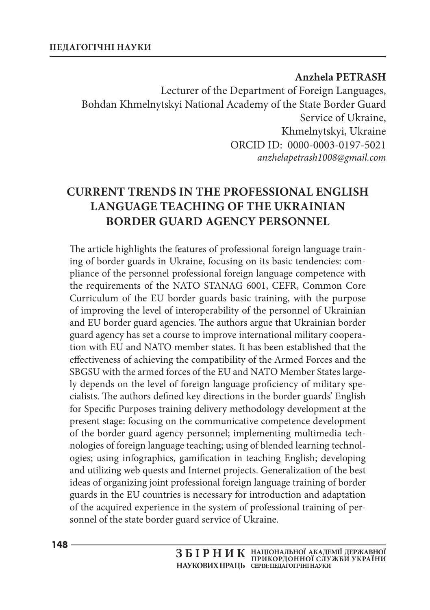### **Anzhela PETRASH**

Lecturer of the Department of Foreign Languages, Bohdan Khmelnytskyi National Academy of the State Border Guard Service of Ukraine, Khmelnytskyi, Ukraine ORCID ID: 0000-0003-0197-5021 *anzhelapetrash1008@gmail.com*

# **CURRENT TRENDS IN THE PROFESSIONAL ENGLISH LANGUAGE TEACHING OF THE UKRAINIAN BORDER GUARD AGENCY PERSONNEL**

The article highlights the features of professional foreign language training of border guards in Ukraine, focusing on its basic tendencies: compliance of the personnel professional foreign language competence with the requirements of the NATO STANAG 6001, CEFR, Common Core Curriculum of the EU border guards basic training, with the purpose of improving the level of interoperability of the personnel of Ukrainian and EU border guard agencies. The authors argue that Ukrainian border guard agency has set a course to improve international military cooperation with EU and NATO member states. It has been established that the effectiveness of achieving the compatibility of the Armed Forces and the SBGSU with the armed forces of the EU and NATO Member States largely depends on the level of foreign language proficiency of military specialists. The authors defined key directions in the border guards' English for Specific Purposes training delivery methodology development at the present stage: focusing on the communicative competence development of the border guard agency personnel; implementing multimedia technologies of foreign language teaching; using of blended learning technologies; using infographics, gamification in teaching English; developing and utilizing web quests and Internet projects. Generalization of the best ideas of organizing joint professional foreign language training of border guards in the EU countries is necessary for introduction and adaptation of the acquired experience in the system of professional training of personnel of the state border guard service of Ukraine.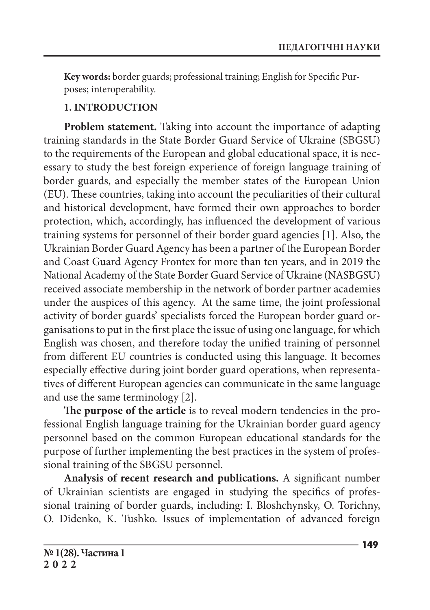**Key words:** border guards; professional training; English for Specific Purposes; interoperability.

## **1. Introduction**

**Problem statement.** Taking into account the importance of adapting training standards in the State Border Guard Service of Ukraine (SBGSU) to the requirements of the European and global educational space, it is necessary to study the best foreign experience of foreign language training of border guards, and especially the member states of the European Union (EU). These countries, taking into account the peculiarities of their cultural and historical development, have formed their own approaches to border protection, which, accordingly, has influenced the development of various training systems for personnel of their border guard agencies [1]. Also, the Ukrainian Border Guard Agency has been a partner of the European Border and Coast Guard Agency Frontex for more than ten years, and in 2019 the National Academy of the State Border Guard Service of Ukraine (NASBGSU) received associate membership in the network of border partner academies under the auspices of this agency. At the same time, the joint professional activity of border guards' specialists forced the European border guard organisations to put in the first place the issue of using one language, for which English was chosen, and therefore today the unified training of personnel from different EU countries is conducted using this language. It becomes especially effective during joint border guard operations, when representatives of different European agencies can communicate in the same language and use the same terminology [2].

**The purpose of the article** is to reveal modern tendencies in the professional English language training for the Ukrainian border guard agency personnel based on the common European educational standards for the purpose of further implementing the best practices in the system of professional training of the SBGSU personnel.

**Analysis of recent research and publications.** A significant number of Ukrainian scientists are engaged in studying the specifics of professional training of border guards, including: I. Bloshchynsky, O. Torichny, O. Didenko, K. Tushko. Issues of implementation of advanced foreign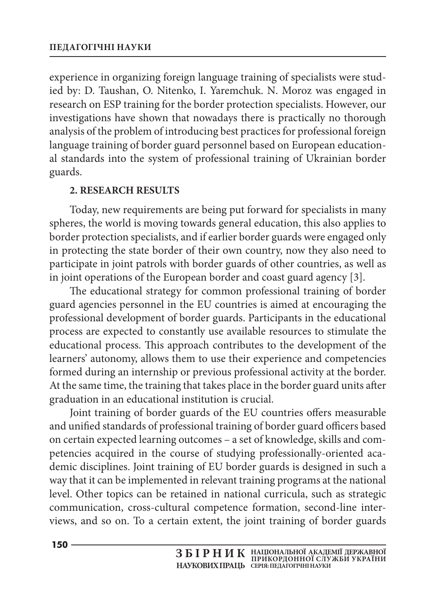experience in organizing foreign language training of specialists were studied by: D. Taushan, O. Nitenko, I. Yaremchuk. N. Moroz was engaged in research on ESP training for the border protection specialists. However, our investigations have shown that nowadays there is practically no thorough analysis of the problem of introducing best practices for professional foreign language training of border guard personnel based on European educational standards into the system of professional training of Ukrainian border guards.

### **2. RESEARCH RESULTS**

Today, new requirements are being put forward for specialists in many spheres, the world is moving towards general education, this also applies to border protection specialists, and if earlier border guards were engaged only in protecting the state border of their own country, now they also need to participate in joint patrols with border guards of other countries, as well as in joint operations of the European border and coast guard agency [3].

The educational strategy for common professional training of border guard agencies personnel in the EU countries is aimed at encouraging the professional development of border guards. Participants in the educational process are expected to constantly use available resources to stimulate the educational process. This approach contributes to the development of the learners' autonomy, allows them to use their experience and competencies formed during an internship or previous professional activity at the border. At the same time, the training that takes place in the border guard units after graduation in an educational institution is crucial.

Joint training of border guards of the EU countries offers measurable and unified standards of professional training of border guard officers based on certain expected learning outcomes – a set of knowledge, skills and competencies acquired in the course of studying professionally-oriented academic disciplines. Joint training of EU border guards is designed in such a way that it can be implemented in relevant training programs at the national level. Other topics can be retained in national curricula, such as strategic communication, cross-cultural competence formation, second-line interviews, and so on. To a certain extent, the joint training of border guards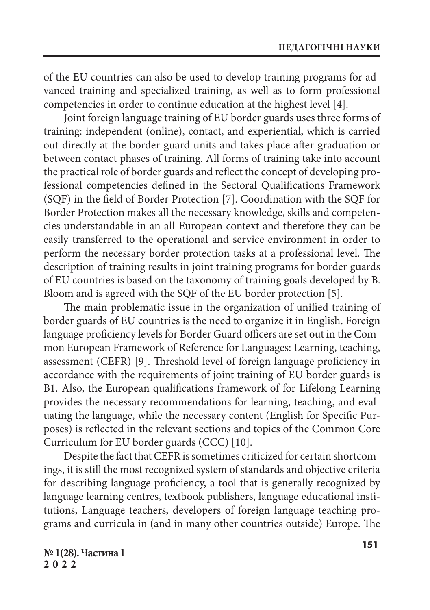of the EU countries can also be used to develop training programs for advanced training and specialized training, as well as to form professional competencies in order to continue education at the highest level [4].

Joint foreign language training of EU border guards uses three forms of training: independent (online), contact, and experiential, which is carried out directly at the border guard units and takes place after graduation or between contact phases of training. All forms of training take into account the practical role of border guards and reflect the concept of developing professional competencies defined in the Sectoral Qualifications Framework (SQF) in the field of Border Protection [7]. Coordination with the SQF for Border Protection makes all the necessary knowledge, skills and competencies understandable in an all-European context and therefore they can be easily transferred to the operational and service environment in order to perform the necessary border protection tasks at a professional level. The description of training results in joint training programs for border guards of EU countries is based on the taxonomy of training goals developed by B. Bloom and is agreed with the SQF of the EU border protection [5].

The main problematic issue in the organization of unified training of border guards of EU countries is the need to organize it in English. Foreign language proficiency levels for Border Guard officers are set out in the Common European Framework of Reference for Languages: Learning, teaching, assessment (CEFR) [9]. Threshold level of foreign language proficiency in accordance with the requirements of joint training of EU border guards is B1. Also, the European qualifications framework of for Lifelong Learning provides the necessary recommendations for learning, teaching, and evaluating the language, while the necessary content (English for Specific Purposes) is reflected in the relevant sections and topics of the Common Core Curriculum for EU border guards (CCC) [10].

Despite the fact that CEFR is sometimes criticized for certain shortcomings, it is still the most recognized system of standards and objective criteria for describing language proficiency, a tool that is generally recognized by language learning centres, textbook publishers, language educational institutions, Language teachers, developers of foreign language teaching programs and curricula in (and in many other countries outside) Europe. The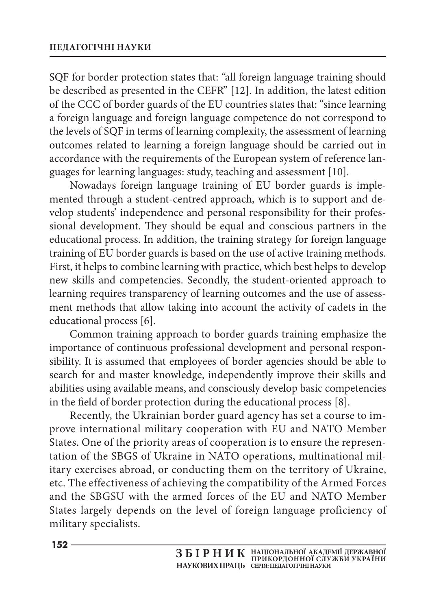SQF for border protection states that: "all foreign language training should be described as presented in the CEFR" [12]. In addition, the latest edition of the CCC of border guards of the EU countries states that: "since learning a foreign language and foreign language competence do not correspond to the levels of SQF in terms of learning complexity, the assessment of learning outcomes related to learning a foreign language should be carried out in accordance with the requirements of the European system of reference languages for learning languages: study, teaching and assessment [10].

Nowadays foreign language training of EU border guards is implemented through a student-centred approach, which is to support and develop students' independence and personal responsibility for their professional development. They should be equal and conscious partners in the educational process. In addition, the training strategy for foreign language training of EU border guards is based on the use of active training methods. First, it helps to combine learning with practice, which best helps to develop new skills and competencies. Secondly, the student-oriented approach to learning requires transparency of learning outcomes and the use of assessment methods that allow taking into account the activity of cadets in the educational process [6].

Common training approach to border guards training emphasize the importance of continuous professional development and personal responsibility. It is assumed that employees of border agencies should be able to search for and master knowledge, independently improve their skills and abilities using available means, and consciously develop basic competencies in the field of border protection during the educational process [8].

Recently, the Ukrainian border guard agency has set a course to improve international military cooperation with EU and NATO Member States. One of the priority areas of cooperation is to ensure the representation of the SBGS of Ukraine in NATO operations, multinational military exercises abroad, or conducting them on the territory of Ukraine, etc. The effectiveness of achieving the compatibility of the Armed Forces and the SBGSU with the armed forces of the EU and NATO Member States largely depends on the level of foreign language proficiency of military specialists.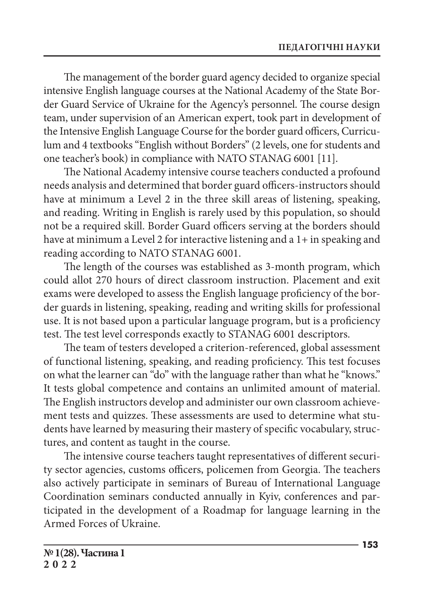The management of the border guard agency decided to organize special intensive English language courses at the National Academy of the State Border Guard Service of Ukraine for the Agency's personnel. The course design team, under supervision of an American expert, took part in development of the Intensive English Language Course for the border guard officers, Curriculum and 4 textbooks "English without Borders" (2 levels, one for students and one teacher's book) in compliance with NATO STANAG 6001 [11].

The National Academy intensive course teachers conducted a profound needs analysis and determined that border guard officers-instructors should have at minimum a Level 2 in the three skill areas of listening, speaking, and reading. Writing in English is rarely used by this population, so should not be a required skill. Border Guard officers serving at the borders should have at minimum a Level 2 for interactive listening and a 1+ in speaking and reading according to NATO STANAG 6001.

The length of the courses was established as 3-month program, which could allot 270 hours of direct classroom instruction. Placement and exit exams were developed to assess the English language proficiency of the border guards in listening, speaking, reading and writing skills for professional use. It is not based upon a particular language program, but is a proficiency test. The test level corresponds exactly to STANAG 6001 descriptors.

The team of testers developed a criterion-referenced, global assessment of functional listening, speaking, and reading proficiency. This test focuses on what the learner can "do" with the language rather than what he "knows." It tests global competence and contains an unlimited amount of material. The English instructors develop and administer our own classroom achievement tests and quizzes. These assessments are used to determine what students have learned by measuring their mastery of specific vocabulary, structures, and content as taught in the course.

The intensive course teachers taught representatives of different security sector agencies, customs officers, policemen from Georgia. The teachers also actively participate in seminars of Bureau of International Language Coordination seminars conducted annually in Kyiv, conferences and participated in the development of a Roadmap for language learning in the Armed Forces of Ukraine.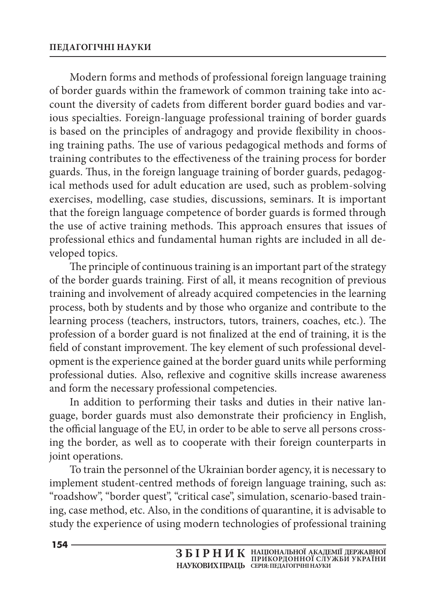Modern forms and methods of professional foreign language training of border guards within the framework of common training take into account the diversity of cadets from different border guard bodies and various specialties. Foreign-language professional training of border guards is based on the principles of andragogy and provide flexibility in choosing training paths. The use of various pedagogical methods and forms of training contributes to the effectiveness of the training process for border guards. Thus, in the foreign language training of border guards, pedagogical methods used for adult education are used, such as problem-solving exercises, modelling, case studies, discussions, seminars. It is important that the foreign language competence of border guards is formed through the use of active training methods. This approach ensures that issues of professional ethics and fundamental human rights are included in all developed topics.

The principle of continuous training is an important part of the strategy of the border guards training. First of all, it means recognition of previous training and involvement of already acquired competencies in the learning process, both by students and by those who organize and contribute to the learning process (teachers, instructors, tutors, trainers, coaches, etc.). The profession of a border guard is not finalized at the end of training, it is the field of constant improvement. The key element of such professional development is the experience gained at the border guard units while performing professional duties. Also, reflexive and cognitive skills increase awareness and form the necessary professional competencies.

In addition to performing their tasks and duties in their native language, border guards must also demonstrate their proficiency in English, the official language of the EU, in order to be able to serve all persons crossing the border, as well as to cooperate with their foreign counterparts in joint operations.

To train the personnel of the Ukrainian border agency, it is necessary to implement student-centred methods of foreign language training, such as: "roadshow", "border quest", "critical case", simulation, scenario-based training, case method, etc. Also, in the conditions of quarantine, it is advisable to study the experience of using modern technologies of professional training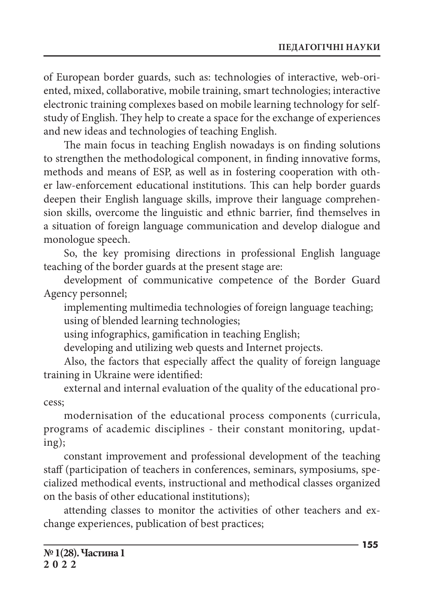of European border guards, such as: technologies of interactive, web-oriented, mixed, collaborative, mobile training, smart technologies; interactive electronic training complexes based on mobile learning technology for selfstudy of English. They help to create a space for the exchange of experiences and new ideas and technologies of teaching English.

The main focus in teaching English nowadays is on finding solutions to strengthen the methodological component, in finding innovative forms, methods and means of ESP, as well as in fostering cooperation with other law-enforcement educational institutions. This can help border guards deepen their English language skills, improve their language comprehension skills, overcome the linguistic and ethnic barrier, find themselves in a situation of foreign language communication and develop dialogue and monologue speech.

So, the key promising directions in professional English language teaching of the border guards at the present stage are:

development of communicative competence of the Border Guard Agency personnel;

implementing multimedia technologies of foreign language teaching; using of blended learning technologies;

using infographics, gamification in teaching English;

developing and utilizing web quests and Internet projects.

Also, the factors that especially affect the quality of foreign language training in Ukraine were identified:

external and internal evaluation of the quality of the educational process;

modernisation of the educational process components (curricula, programs of academic disciplines - their constant monitoring, updating);

constant improvement and professional development of the teaching staff (participation of teachers in conferences, seminars, symposiums, specialized methodical events, instructional and methodical classes organized on the basis of other educational institutions);

attending classes to monitor the activities of other teachers and exchange experiences, publication of best practices;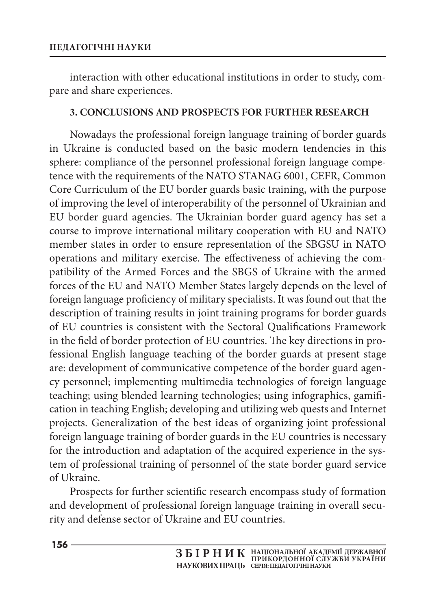interaction with other educational institutions in order to study, compare and share experiences.

### **3. CONCLUSIONS AND PROSPECTS FOR FURTHER RESEARCH**

Nowadays the professional foreign language training of border guards in Ukraine is conducted based on the basic modern tendencies in this sphere: compliance of the personnel professional foreign language competence with the requirements of the NATO STANAG 6001, CEFR, Common Core Curriculum of the EU border guards basic training, with the purpose of improving the level of interoperability of the personnel of Ukrainian and EU border guard agencies. The Ukrainian border guard agency has set a course to improve international military cooperation with EU and NATO member states in order to ensure representation of the SBGSU in NATO operations and military exercise. The effectiveness of achieving the compatibility of the Armed Forces and the SBGS of Ukraine with the armed forces of the EU and NATO Member States largely depends on the level of foreign language proficiency of military specialists. It was found out that the description of training results in joint training programs for border guards of EU countries is consistent with the Sectoral Qualifications Framework in the field of border protection of EU countries. The key directions in professional English language teaching of the border guards at present stage are: development of communicative competence of the border guard agency personnel; implementing multimedia technologies of foreign language teaching; using blended learning technologies; using infographics, gamification in teaching English; developing and utilizing web quests and Internet projects. Generalization of the best ideas of organizing joint professional foreign language training of border guards in the EU countries is necessary for the introduction and adaptation of the acquired experience in the system of professional training of personnel of the state border guard service of Ukraine.

Prospects for further scientific research encompass study of formation and development of professional foreign language training in overall security and defense sector of Ukraine and EU countries.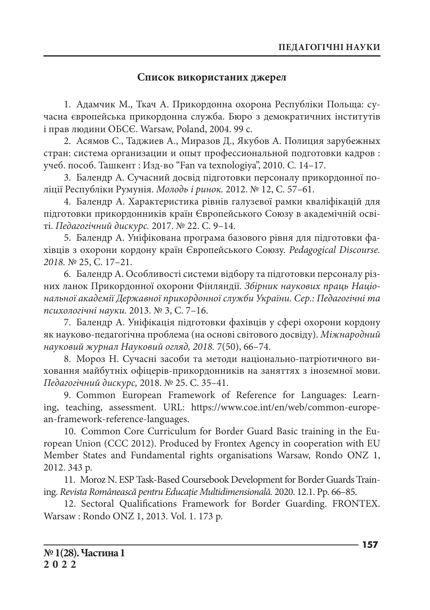#### **Список використаних джерел**

1. Адамчик М., Ткач А. Прикордонна охорона Республіки Польща: сучасна європейська прикордонна служба. Бюро з демократичних інститутів і прав людини ОБСЄ. Warsaw, Poland, 2004. 99 с.

2. Асямов С., Таджиев А., Миразов Д., Якубов А. Полиция зарубежных стран: система организации и опыт профессиональной подготовки кадров : учеб. пособ. Ташкент : Изд-во "Fan va texnologiya", 2010. С. 14–17.

3. Балендр А. Сучасний досвід підготовки персоналу прикордонної поліції Республіки Румунія. *Молодь і ринок.* 2012. № 12, С. 57–61.

4. Балендр А. Характеристика рівнів галузевої рамки кваліфікацій для підготовки прикордонників країн Європейського Союзу в академічній освіті. *Педагогічний дискурс.* 2017. № 22. С. 9–14.

5. Балендр А. Уніфікована програма базового рівня для підготовки фахівців з охорони кордону країн Європейського Союзу. *Pedagogical Discourse. 2018.* № 25, С. 17–21.

6. Балендр А. Особливості системи відбору та підготовки персоналу різних ланок Прикордонної охорони Фінляндії. *Збірник наукових праць Національної академії Державної прикордонної служби України. Сер.: Педагогічні та психологічні науки.* 2013. № 3, С. 7–16.

7. Балендр А. Уніфікація підготовки фахівців у сфері охорони кордону як науково-педагогічна проблема (на основі світового досвіду). *Міжнародний науковий журнал Науковий огляд, 2018.* 7(50), 66–74.

8. Мороз Н. Сучасні засоби та методи національно-патріотичного виховання майбутніх офіцерів-прикордонників на заняттях з іноземної мови. *Педагогічний дискурс,* 2018. № 25. С. 35–41.

9. Common European Framework of Reference for Languages: Learning, teaching, assessment. URL: https://www.coe.int/en/web/common-european-framework-reference-languages.

10. Common Core Curriculum for Border Guard Basic training in the European Union (CCC 2012). Produced by Frontex Agency in cooperation with EU Member States and Fundamental rights organisations Warsaw, Rondo ONZ 1, 2012. 343 p.

11. Moroz N. ESP Task-Based Coursebook Development for Border Guards Training. *Revista Românească pentru Educaţie Multidimensională.* 2020. 12.1. Рр. 66–85.

12. Sectoral Qualifications Framework for Border Guarding. FRONTEX. Warsaw : Rondo ONZ 1, 2013. Vol. 1. 173 p.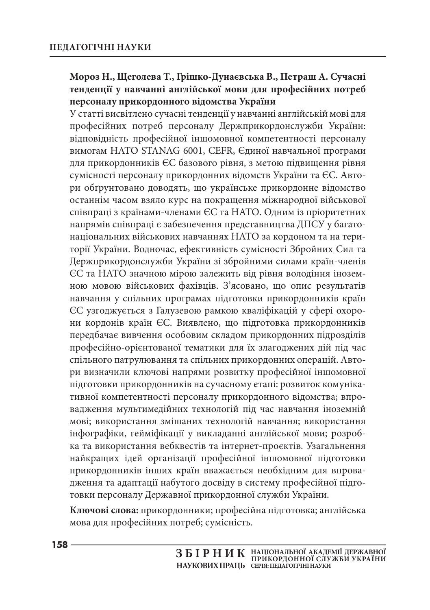### **Мороз Н., Щеголева Т., Грішко-Дунаєвська В., Петраш А. Сучасні тенденції у навчанні англійської мови для професійних потреб персоналу прикордонного відомства України**

У статті висвітлено сучасні тенденції у навчанні англійській мові для професійних потреб персоналу Держприкордонслужби України: відповідність професійної іншомовної компетентності персоналу вимогам НАТО STANAG 6001, CEFR, Єдиної навчальної програми для прикордонників ЄС базового рівня, з метою підвищення рівня сумісності персоналу прикордонних відомств України та ЄС. Автори обґрунтовано доводять, що українське прикордонне відомство останнім часом взяло курс на покращення міжнародної військової співпраці з країнами-членами ЄС та НАТО. Одним із пріоритетних напрямів співпраці є забезпечення представництва ДПСУ у багатонаціональних військових навчаннях НАТО за кордоном та на території України. Водночас, ефективність сумісності Збройних Сил та Держприкордонслужби України зі збройними силами країн-членів ЄС та НАТО значною мірою залежить від рівня володіння іноземною мовою військових фахівців. З'ясовано, що опис результатів навчання у спільних програмах підготовки прикордонників країн ЄС узгоджується з Галузевою рамкою кваліфікацій у сфері охорони кордонів країн ЄС. Виявлено, що підготовка прикордонників передбачає вивчення особовим складом прикордонних підрозділів професійно-орієнтованої тематики для їх злагоджених дій під час спільного патрулювання та спільних прикордонних операцій. Автори визначили ключові напрями розвитку професійної іншомовної підготовки прикордонників на сучасному етапі: розвиток комунікативної компетентності персоналу прикордонного відомства; впровадження мультимедійних технологій під час навчання іноземній мові; використання змішаних технологій навчання; використання інфографіки, гейміфікації у викладанні англійської мови; розробка та використання вебквестів та інтернет-проєктів. Узагальнення найкращих ідей організації професійної іншомовної підготовки прикордонників інших країн вважається необхідним для впровадження та адаптації набутого досвіду в систему професійної підготовки персоналу Державної прикордонної служби України.

**Ключові слова:** прикордонники; професійна підготовка; англійська мова для професійних потреб; сумісність.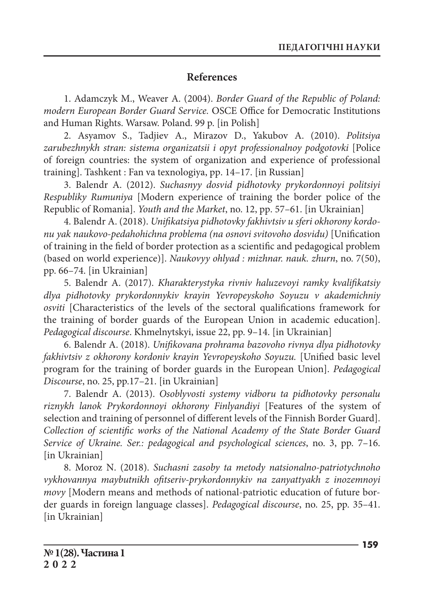### **References**

1. Adamczyk M., Weaver A. (2004). *Border Guard of the Republic of Poland: modern European Border Guard Service.* OSCE Office for Democratic Institutions and Human Rights. Warsaw. Poland. 99 p. [in Polish]

2. Asyamov S., Tadjiev A., Mirazov D., Yakubov A. (2010). *Politsiya zarubezhnykh stran: sistema organizatsii i opyt professionalnoy podgotovki* [Police of foreign countries: the system of organization and experience of professional training]. Tashkent : Fan va texnologiya, pр. 14–17. [in Russian]

3. Balendr A. (2012). *Suchasnyy dosvid pidhotovky prykordonnoyi politsiyi Respubliky Rumuniya* [Modern experience of training the border police of the Republic of Romania]. *Youth and the Market*, no. 12, pр. 57–61. [in Ukrainian]

4. Balendr A. (2018). *Unifikatsiya pidhotovky fakhivtsiv u sferi okhorony kordonu yak naukovo-pedahohichna problema (na osnovi svitovoho dosvidu)* [Unification of training in the field of border protection as a scientific and pedagogical problem (based on world experience)]. *Naukovyy ohlyad : mizhnar. nauk. zhurn*, no. 7(50), pp. 66–74. [in Ukrainian]

5. Balendr A. (2017). *Kharakterystyka rivniv haluzevoyi ramky kvalifikatsiy dlya pidhotovky prykordonnykiv krayin Yevropeyskoho Soyuzu v akademichniy osviti* [Characteristics of the levels of the sectoral qualifications framework for the training of border guards of the European Union in academic education]. *Pedagogical discourse*. Khmelnytskyi, issue 22, pp. 9–14. [in Ukrainian]

6. Balendr А. (2018). *Unifikovana prohrama bazovoho rivnya dlya pidhotovky fakhivtsiv z okhorony kordoniv krayin Yevropeyskoho Soyuzu.* [Unified basic level program for the training of border guards in the European Union]. *Pedagogical Discourse*, no. 25, pp.17–21. [in Ukrainian]

7. Balendr А. (2013). *Osoblyvosti systemy vidboru ta pidhotovky personalu riznykh lanok Prykordonnoyi okhorony Finlyandiyi* [Features of the system of selection and training of personnel of different levels of the Finnish Border Guard]. *Collection of scientific works of the National Academy of the State Border Guard Service of Ukraine. Ser.: pedagogical and psychological sciences*, no. 3, pp. 7–16. [in Ukrainian]

8. Моroz N. (2018). *Suchasni zasoby ta metody natsionalno-patriotychnoho vykhovannya maybutnikh ofitseriv-prykordonnykiv na zanyattyakh z inozemnoyi movy* [Modern means and methods of national-patriotic education of future border guards in foreign language classes]. *Pedagogical discourse*, no. 25, pp. 35–41. [in Ukrainian]